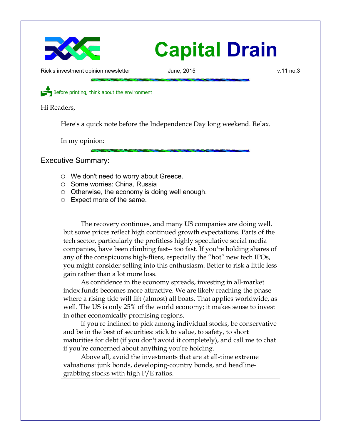

Rick's investment opinion newsletter **June, 2015** v.11 no.3

Before printing, think about the environment

Hi Readers,

Here's a quick note before the Independence Day long weekend. Relax.

In my opinion:

Executive Summary:

- We don't need to worry about Greece.
- Some worries: China, Russia
- $\circ$  Otherwise, the economy is doing well enough.
- Expect more of the same.

The recovery continues, and many US companies are doing well, but some prices reflect high continued growth expectations. Parts of the tech sector, particularly the profitless highly speculative social media companies, have been climbing fast-- too fast. If you're holding shares of any of the conspicuous high-fliers, especially the "hot" new tech IPOs, you might consider selling into this enthusiasm. Better to risk a little less gain rather than a lot more loss.

As confidence in the economy spreads, investing in all-market index funds becomes more attractive. We are likely reaching the phase where a rising tide will lift (almost) all boats. That applies worldwide, as well. The US is only 25% of the world economy; it makes sense to invest in other economically promising regions.

If you're inclined to pick among individual stocks, be conservative and be in the best of securities: stick to value, to safety, to short maturities for debt (if you don't avoid it completely), and call me to chat if you're concerned about anything you're holding.

Above all, avoid the investments that are at all-time extreme valuations: junk bonds, developing-country bonds, and headlinegrabbing stocks with high P/E ratios.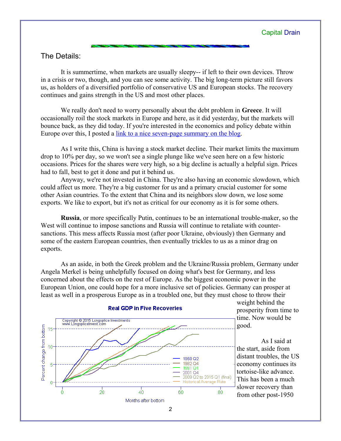## The Details:

It is summertime, when markets are usually sleepy-- if left to their own devices. Throw in a crisis or two, though, and you can see some activity. The big long-term picture still favors us, as holders of a diversified portfolio of conservative US and European stocks. The recovery continues and gains strength in the US and most other places.

We really don't need to worry personally about the debt problem in **Greece**. It will occasionally roil the stock markets in Europe and here, as it did yesterday, but the markets will bounce back, as they did today. If you're interested in the economics and policy debate within Europe over this, I posted a [link to a nice seven-page summary on the blog.](http://www.longspliceinvest.com/ricksblog/2015-06-29/other-voices/a-quick-summary-of-the-greek-debt-crisis/)

As I write this, China is having a stock market decline. Their market limits the maximum drop to 10% per day, so we won't see a single plunge like we've seen here on a few historic occasions. Prices for the shares were very high, so a big decline is actually a helpful sign. Prices had to fall, best to get it done and put it behind us.

Anyway, we're not invested in China. They're also having an economic slowdown, which could affect us more. They're a big customer for us and a primary crucial customer for some other Asian countries. To the extent that China and its neighbors slow down, we lose some exports. We like to export, but it's not as critical for our economy as it is for some others.

**Russia**, or more specifically Putin, continues to be an international trouble-maker, so the West will continue to impose sanctions and Russia will continue to retaliate with countersanctions. This mess affects Russia most (after poor Ukraine, obviously) then Germany and some of the eastern European countries, then eventually trickles to us as a minor drag on exports.

As an aside, in both the Greek problem and the Ukraine/Russia problem, Germany under Angela Merkel is being unhelpfully focused on doing what's best for Germany, and less concerned about the effects on the rest of Europe. As the biggest economic power in the European Union, one could hope for a more inclusive set of policies. Germany can prosper at least as well in a prosperous Europe as in a troubled one, but they must chose to throw their



weight behind the prosperity from time to time. Now would be good.

As I said at the start, aside from distant troubles, the US economy continues its tortoise-like advance. This has been a much slower recovery than from other post-1950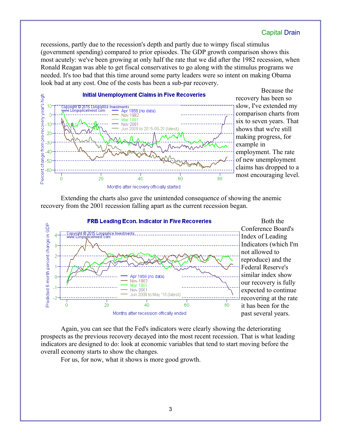recessions, partly due to the recession's depth and partly due to wimpy fiscal stimulus (government spending) compared to prior episodes. The GDP growth comparison shows this most acutely: we've been growing at only half the rate that we did after the 1982 recession, when Ronald Reagan was able to get fiscal conservatives to go along with the stimulus programs we needed. It's too bad that this time around some party leaders were so intent on making Obama look bad at any cost. One of the costs has been a sub-par recovery.



Because the recovery has been so slow, I've extended my comparison charts from six to seven years. That shows that we're still making progress, for example in employment. The rate of new unemployment claims has dropped to a most encouraging level.

Extending the charts also gave the unintended consequence of showing the anemic recovery from the 2001 recession falling apart as the current recession began.



Both the Conference Board's Index of Leading Indicators (which I'm not allowed to reproduce) and the Federal Reserve's similar index show our recovery is fully expected to continue recovering at the rate it has been for the past several years.

Again, you can see that the Fed's indicators were clearly showing the deteriorating prospects as the previous recovery decayed into the most recent recession. That is what leading indicators are designed to do: look at economic variables that tend to start moving before the overall economy starts to show the changes.

For us, for now, what it shows is more good growth.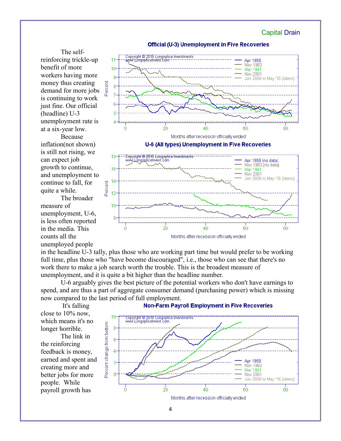

The selfreinforcing trickle-up benefit of more workers having more money thus creating demand for more jobs is continuing to work just fine. Our official (headline) U-3 unemployment rate is at a six-year low.

Because inflation(not shown) is still not rising, we can expect job growth to continue, and unemployment to continue to fall, for quite a while.

The broader measure of unemployment, U-6, is less often reported in the media. This counts all the unemployed people



in the headline U-3 tally, plus those who are working part time but would prefer to be working full time, plus those who "have become discouraged", i.e., those who can see that there's no work there to make a job search worth the trouble. This is the broadest measure of unemployment, and it is quite a bit higher than the headline number.

20

 $\ddot{\mathbf{0}}$ 

U-6 arguably gives the best picture of the potential workers who don't have earnings to spend, and are thus a part of aggregate consumer demand (purchasing power) which is missing now compared to the last period of full employment.

 It's falling close to 10% now, which means it's no longer horrible.

The link in the reinforcing feedback is money, earned and spent and creating more and better jobs for more people. While payroll growth has

![](_page_3_Figure_10.jpeg)

**Non-Farm Payroll Employment in Five Recoveries** 

 $\overline{40}$ 

Months after recession officially ended

60

80

4